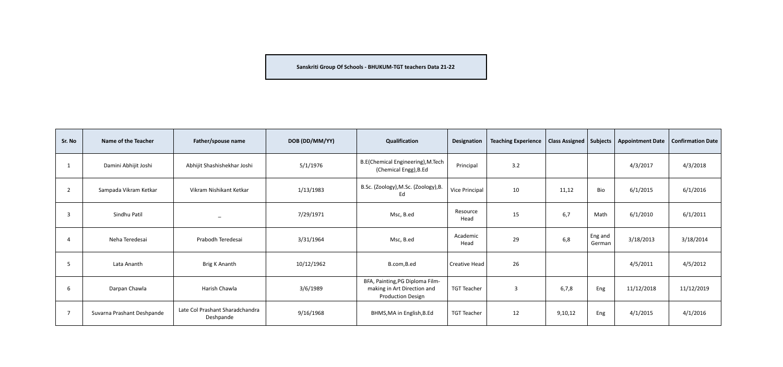**Sanskriti Group Of Schools - BHUKUM-TGT teachers Data 21-22**

| Sr. No         | <b>Name of the Teacher</b> | Father/spouse name                           | DOB (DD/MM/YY) | Qualification                                                                              | Designation          | <b>Teaching Experience</b> | <b>Class Assigned   Subjects</b> |                   | <b>Appointment Date</b> | <b>Confirmation Date</b> |
|----------------|----------------------------|----------------------------------------------|----------------|--------------------------------------------------------------------------------------------|----------------------|----------------------------|----------------------------------|-------------------|-------------------------|--------------------------|
|                | Damini Abhijit Joshi       | Abhijit Shashishekhar Joshi                  | 5/1/1976       | B.E(Chemical Engineering), M.Tech<br>(Chemical Engg), B.Ed                                 | Principal            | 3.2                        |                                  |                   | 4/3/2017                | 4/3/2018                 |
| $\overline{2}$ | Sampada Vikram Ketkar      | Vikram Nishikant Ketkar                      | 1/13/1983      | B.Sc. (Zoology), M.Sc. (Zoology), B.<br>Ed                                                 | Vice Principal       | 10                         | 11,12                            | Bio               | 6/1/2015                | 6/1/2016                 |
| 3              | Sindhu Patil               | $\overline{\phantom{0}}$                     | 7/29/1971      | Msc, B.ed                                                                                  | Resource<br>Head     | 15                         | 6,7                              | Math              | 6/1/2010                | 6/1/2011                 |
|                | Neha Teredesai             | Prabodh Teredesai                            | 3/31/1964      | Msc, B.ed                                                                                  | Academic<br>Head     | 29                         | 6,8                              | Eng and<br>German | 3/18/2013               | 3/18/2014                |
| .5             | Lata Ananth                | Brig K Ananth                                | 10/12/1962     | B.com, B.ed                                                                                | <b>Creative Head</b> | 26                         |                                  |                   | 4/5/2011                | 4/5/2012                 |
| 6              | Darpan Chawla              | Harish Chawla                                | 3/6/1989       | BFA, Painting, PG Diploma Film-<br>making in Art Direction and<br><b>Production Design</b> | <b>TGT Teacher</b>   | $\overline{3}$             | 6,7,8                            | Eng               | 11/12/2018              | 11/12/2019               |
|                | Suvarna Prashant Deshpande | Late Col Prashant Sharadchandra<br>Deshpande | 9/16/1968      | BHMS, MA in English, B.Ed                                                                  | <b>TGT Teacher</b>   | 12                         | 9,10,12                          | Eng               | 4/1/2015                | 4/1/2016                 |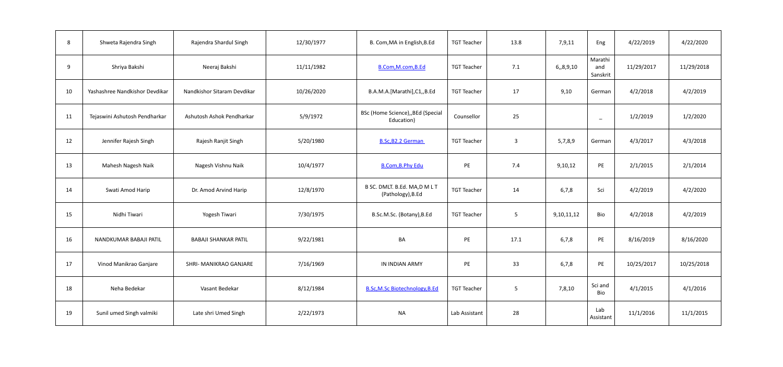| 8  | Shweta Rajendra Singh          | Rajendra Shardul Singh      | 12/30/1977 | B. Com, MA in English, B.Ed                       | <b>TGT Teacher</b> | 13.8           | 7,9,11      | Eng                        | 4/22/2019  | 4/22/2020  |
|----|--------------------------------|-----------------------------|------------|---------------------------------------------------|--------------------|----------------|-------------|----------------------------|------------|------------|
| 9  | Shriya Bakshi                  | Neeraj Bakshi               | 11/11/1982 | B.Com, M.com, B.Ed                                | <b>TGT Teacher</b> | 7.1            | 6, 8, 9, 10 | Marathi<br>and<br>Sanskrit | 11/29/2017 | 11/29/2018 |
| 10 | Yashashree Nandkishor Devdikar | Nandkishor Sitaram Devdikar | 10/26/2020 | B.A.M.A.[Marathi],C1,,B.Ed                        | <b>TGT Teacher</b> | 17             | 9,10        | German                     | 4/2/2018   | 4/2/2019   |
| 11 | Tejaswini Ashutosh Pendharkar  | Ashutosh Ashok Pendharkar   | 5/9/1972   | BSc (Home Science), BEd (Special<br>Education)    | Counsellor         | 25             |             | $\overline{\phantom{m}}$   | 1/2/2019   | 1/2/2020   |
| 12 | Jennifer Rajesh Singh          | Rajesh Ranjit Singh         | 5/20/1980  | B.Sc, B2.2 German                                 | <b>TGT Teacher</b> | $\mathbf{3}$   | 5,7,8,9     | German                     | 4/3/2017   | 4/3/2018   |
| 13 | Mahesh Nagesh Naik             | Nagesh Vishnu Naik          | 10/4/1977  | <b>B.Com, B.Phy Edu</b>                           | PE                 | 7.4            | 9,10,12     | PE                         | 2/1/2015   | 2/1/2014   |
| 14 | Swati Amod Harip               | Dr. Amod Arvind Harip       | 12/8/1970  | B SC. DMLT. B.Ed. MA,D M L T<br>(Pathology), B.Ed | <b>TGT Teacher</b> | 14             | 6,7,8       | Sci                        | 4/2/2019   | 4/2/2020   |
| 15 | Nidhi Tiwari                   | Yogesh Tiwari               | 7/30/1975  | B.Sc.M.Sc. (Botany), B.Ed                         | <b>TGT Teacher</b> | 5 <sup>5</sup> | 9,10,11,12  | Bio                        | 4/2/2018   | 4/2/2019   |
| 16 | NANDKUMAR BABAJI PATIL         | <b>BABAJI SHANKAR PATIL</b> | 9/22/1981  | BA                                                | PE                 | 17.1           | 6,7,8       | PE                         | 8/16/2019  | 8/16/2020  |
| 17 | Vinod Manikrao Ganjare         | SHRI- MANIKRAO GANJARE      | 7/16/1969  | IN INDIAN ARMY                                    | PE                 | 33             | 6,7,8       | PE                         | 10/25/2017 | 10/25/2018 |
| 18 | Neha Bedekar                   | Vasant Bedekar              | 8/12/1984  | <b>B.Sc, M.Sc Biotechnology, B.Ed</b>             | <b>TGT Teacher</b> | 5 <sup>5</sup> | 7,8,10      | Sci and<br>Bio             | 4/1/2015   | 4/1/2016   |
| 19 | Sunil umed Singh valmiki       | Late shri Umed Singh        | 2/22/1973  | <b>NA</b>                                         | Lab Assistant      | 28             |             | Lab<br>Assistant           | 11/1/2016  | 11/1/2015  |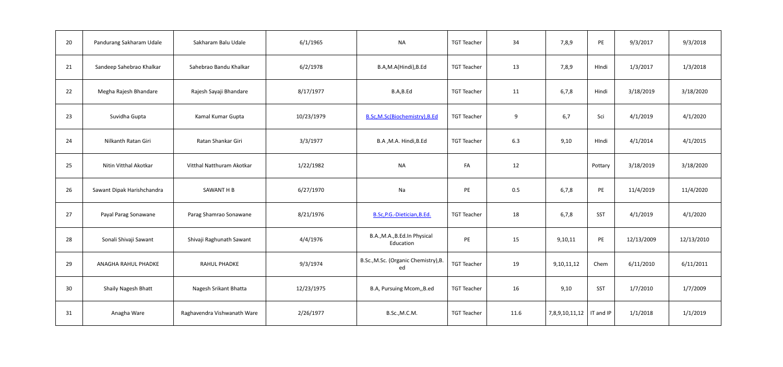| 20 | Pandurang Sakharam Udale   | Sakharam Balu Udale         | 6/1/1965   | <b>NA</b>                                  | <b>TGT Teacher</b> | 34   | 7,8,9                      | PE      | 9/3/2017   | 9/3/2018   |
|----|----------------------------|-----------------------------|------------|--------------------------------------------|--------------------|------|----------------------------|---------|------------|------------|
| 21 | Sandeep Sahebrao Khalkar   | Sahebrao Bandu Khalkar      | 6/2/1978   | B.A,M.A(Hindi),B.Ed                        | <b>TGT Teacher</b> | 13   | 7,8,9                      | HIndi   | 1/3/2017   | 1/3/2018   |
| 22 | Megha Rajesh Bhandare      | Rajesh Sayaji Bhandare      | 8/17/1977  | B.A,B.Ed                                   | <b>TGT Teacher</b> | 11   | 6,7,8                      | Hindi   | 3/18/2019  | 3/18/2020  |
| 23 | Suvidha Gupta              | Kamal Kumar Gupta           | 10/23/1979 | B.Sc, M.Sc(Biochemistry), B.Ed             | <b>TGT Teacher</b> | 9    | 6,7                        | Sci     | 4/1/2019   | 4/1/2020   |
| 24 | Nilkanth Ratan Giri        | Ratan Shankar Giri          | 3/3/1977   | B.A , M.A. Hindi, B.Ed                     | <b>TGT Teacher</b> | 6.3  | 9,10                       | HIndi   | 4/1/2014   | 4/1/2015   |
| 25 | Nitin Vitthal Akotkar      | Vitthal Natthuram Akotkar   | 1/22/1982  | <b>NA</b>                                  | FA                 | 12   |                            | Pottary | 3/18/2019  | 3/18/2020  |
| 26 | Sawant Dipak Harishchandra | SAWANT H B                  | 6/27/1970  | Na                                         | PE                 | 0.5  | 6,7,8                      | PE      | 11/4/2019  | 11/4/2020  |
| 27 | Payal Parag Sonawane       | Parag Shamrao Sonawane      | 8/21/1976  | B.Sc, P.G.-Dietician, B.Ed.                | <b>TGT Teacher</b> | 18   | 6,7,8                      | SST     | 4/1/2019   | 4/1/2020   |
| 28 | Sonali Shivaji Sawant      | Shivaji Raghunath Sawant    | 4/4/1976   | B.A., M.A., B.Ed.In Physical<br>Education  | PE                 | 15   | 9,10,11                    | PE      | 12/13/2009 | 12/13/2010 |
| 29 | ANAGHA RAHUL PHADKE        | <b>RAHUL PHADKE</b>         | 9/3/1974   | B.Sc., M.Sc. (Organic Chemistry), B.<br>ed | <b>TGT Teacher</b> | 19   | 9,10,11,12                 | Chem    | 6/11/2010  | 6/11/2011  |
| 30 | Shaily Nagesh Bhatt        | Nagesh Srikant Bhatta       | 12/23/1975 | B.A, Pursuing Mcom,, B.ed                  | <b>TGT Teacher</b> | 16   | 9,10                       | SST     | 1/7/2010   | 1/7/2009   |
| 31 | Anagha Ware                | Raghavendra Vishwanath Ware | 2/26/1977  | B.Sc., M.C.M.                              | <b>TGT Teacher</b> | 11.6 | 7,8,9,10,11,12   IT and IP |         | 1/1/2018   | 1/1/2019   |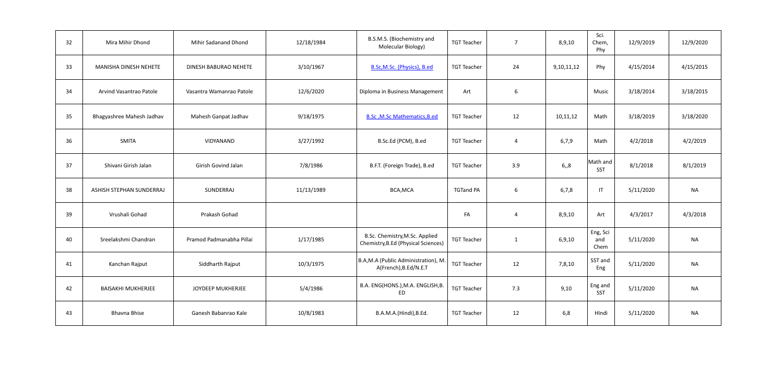| 32 | Mira Mihir Dhond             | Mihir Sadanand Dhond     | 12/18/1984 | B.S.M.S. (Biochemistry and<br>Molecular Biology)                      | <b>TGT Teacher</b> | $\overline{7}$ | 8,9,10        | Sci.<br>Chem,<br>Phy    | 12/9/2019 | 12/9/2020 |
|----|------------------------------|--------------------------|------------|-----------------------------------------------------------------------|--------------------|----------------|---------------|-------------------------|-----------|-----------|
| 33 | <b>MANISHA DINESH NEHETE</b> | DINESH BABURAO NEHETE    | 3/10/1967  | B.Sc, M.Sc. (Physics), B.ed                                           | <b>TGT Teacher</b> | 24             | 9, 10, 11, 12 | Phy                     | 4/15/2014 | 4/15/2015 |
| 34 | Arvind Vasantrao Patole      | Vasantra Wamanrao Patole | 12/6/2020  | Diploma in Business Management                                        | Art                | 6              |               | Music                   | 3/18/2014 | 3/18/2015 |
| 35 | Bhagyashree Mahesh Jadhav    | Mahesh Ganpat Jadhav     | 9/18/1975  | <b>B.Sc , M.Sc Mathematics, B.ed</b>                                  | <b>TGT Teacher</b> | 12             | 10,11,12      | Math                    | 3/18/2019 | 3/18/2020 |
| 36 | <b>SMITA</b>                 | VIDYANAND                | 3/27/1992  | B.Sc.Ed (PCM), B.ed                                                   | <b>TGT Teacher</b> | $\overline{4}$ | 6,7,9         | Math                    | 4/2/2018  | 4/2/2019  |
| 37 | Shivani Girish Jalan         | Girish Govind Jalan      | 7/8/1986   | B.F.T. (Foreign Trade), B.ed                                          | <b>TGT Teacher</b> | 3.9            | 6, 8          | Math and<br>SST         | 8/1/2018  | 8/1/2019  |
| 38 | ASHISH STEPHAN SUNDERRAJ     | SUNDERRAJ                | 11/13/1989 | BCA, MCA                                                              | <b>TGTand PA</b>   | 6              | 6,7,8         | $\mathsf{I}\mathsf{T}$  | 5/11/2020 | <b>NA</b> |
| 39 | Vrushali Gohad               | Prakash Gohad            |            |                                                                       | FA                 | 4              | 8,9,10        | Art                     | 4/3/2017  | 4/3/2018  |
| 40 | Sreelakshmi Chandran         | Pramod Padmanabha Pillai | 1/17/1985  | B.Sc. Chemistry, M.Sc. Applied<br>Chemistry, B.Ed (Physical Sciences) | <b>TGT Teacher</b> | $\mathbf{1}$   | 6, 9, 10      | Eng, Sci<br>and<br>Chem | 5/11/2020 | <b>NA</b> |
| 41 | Kanchan Rajput               | Siddharth Rajput         | 10/3/1975  | B.A,M.A (Public Administration), M.<br>A(French), B.Ed/N.E.T          | <b>TGT Teacher</b> | 12             | 7,8,10        | SST and<br>Eng          | 5/11/2020 | <b>NA</b> |
| 42 | <b>BAISAKHI MUKHERJEE</b>    | JOYDEEP MUKHERJEE        | 5/4/1986   | B.A. ENG(HONS.), M.A. ENGLISH, B.<br>ED                               | <b>TGT Teacher</b> | 7.3            | 9,10          | Eng and<br>SST          | 5/11/2020 | <b>NA</b> |
| 43 | <b>Bhavna Bhise</b>          | Ganesh Babanrao Kale     | 10/8/1983  | B.A.M.A.(Hindi), B.Ed.                                                | <b>TGT Teacher</b> | 12             | 6,8           | HIndi                   | 5/11/2020 | <b>NA</b> |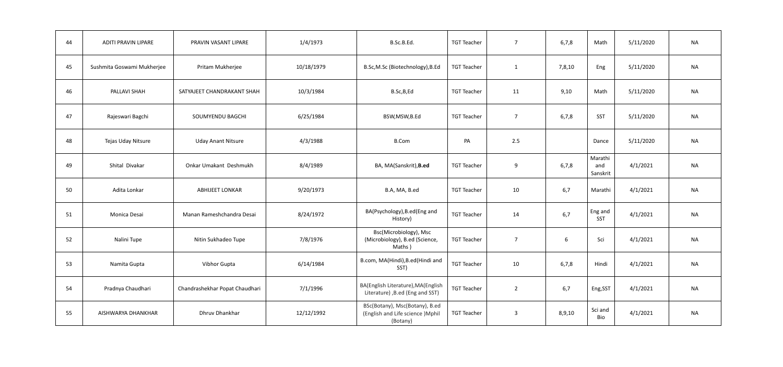| 44 | <b>ADITI PRAVIN LIPARE</b> | PRAVIN VASANT LIPARE           | 1/4/1973   | B.Sc.B.Ed.                                                                     | <b>TGT Teacher</b> | $\overline{7}$ | 6,7,8           | Math                       | 5/11/2020 | <b>NA</b> |
|----|----------------------------|--------------------------------|------------|--------------------------------------------------------------------------------|--------------------|----------------|-----------------|----------------------------|-----------|-----------|
| 45 | Sushmita Goswami Mukherjee | Pritam Mukherjee               | 10/18/1979 | B.Sc, M.Sc (Biotechnology), B.Ed                                               | <b>TGT Teacher</b> | $\mathbf{1}$   | 7,8,10          | Eng                        | 5/11/2020 | <b>NA</b> |
| 46 | PALLAVI SHAH               | SATYAJEET CHANDRAKANT SHAH     | 10/3/1984  | B.Sc,B,Ed                                                                      | <b>TGT Teacher</b> | 11             | 9,10            | Math                       | 5/11/2020 | <b>NA</b> |
| 47 | Rajeswari Bagchi           | SOUMYENDU BAGCHI               | 6/25/1984  | BSW, MSW, B.Ed                                                                 | <b>TGT Teacher</b> | $\overline{7}$ | 6,7,8           | SST                        | 5/11/2020 | <b>NA</b> |
| 48 | Tejas Uday Nitsure         | <b>Uday Anant Nitsure</b>      | 4/3/1988   | <b>B.Com</b>                                                                   | PA                 | 2.5            |                 | Dance                      | 5/11/2020 | <b>NA</b> |
| 49 | Shital Divakar             | Onkar Umakant Deshmukh         | 8/4/1989   | BA, MA(Sanskrit), B.ed                                                         | <b>TGT Teacher</b> | 9              | 6,7,8           | Marathi<br>and<br>Sanskrit | 4/1/2021  | <b>NA</b> |
| 50 | Adita Lonkar               | <b>ABHIJEET LONKAR</b>         | 9/20/1973  | B.A, MA, B.ed                                                                  | <b>TGT Teacher</b> | 10             | 6,7             | Marathi                    | 4/1/2021  | <b>NA</b> |
| 51 | Monica Desai               | Manan Rameshchandra Desai      | 8/24/1972  | BA(Psychology), B.ed(Eng and<br>History)                                       | <b>TGT Teacher</b> | 14             | 6,7             | Eng and<br>SST             | 4/1/2021  | <b>NA</b> |
| 52 | Nalini Tupe                | Nitin Sukhadeo Tupe            | 7/8/1976   | Bsc(Microbiology), Msc<br>(Microbiology), B.ed (Science,<br>Maths)             | <b>TGT Teacher</b> | $\overline{7}$ | $6\phantom{1}6$ | Sci                        | 4/1/2021  | <b>NA</b> |
| 53 | Namita Gupta               | Vibhor Gupta                   | 6/14/1984  | B.com, MA(Hindi), B.ed(Hindi and<br>SST)                                       | <b>TGT Teacher</b> | 10             | 6,7,8           | Hindi                      | 4/1/2021  | <b>NA</b> |
| 54 | Pradnya Chaudhari          | Chandrashekhar Popat Chaudhari | 7/1/1996   | BA(English Literature), MA(English<br>Literature), B.ed (Eng and SST)          | <b>TGT Teacher</b> | $\overline{2}$ | 6,7             | Eng,SST                    | 4/1/2021  | <b>NA</b> |
| 55 | AISHWARYA DHANKHAR         | <b>Dhruv Dhankhar</b>          | 12/12/1992 | BSc(Botany), Msc(Botany), B.ed<br>(English and Life science) Mphil<br>(Botany) | <b>TGT Teacher</b> | $\overline{3}$ | 8,9,10          | Sci and<br>Bio             | 4/1/2021  | <b>NA</b> |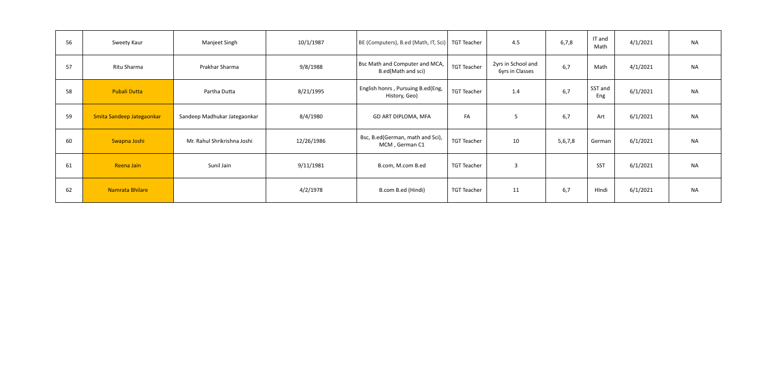| 56 | Sweety Kaur               | Manjeet Singh                | 10/1/1987  | BE (Computers), B.ed (Math, IT, Sci)                 | TGT Teacher        | 4.5                                   | 6,7,8   | IT and<br>Math | 4/1/2021 | <b>NA</b> |
|----|---------------------------|------------------------------|------------|------------------------------------------------------|--------------------|---------------------------------------|---------|----------------|----------|-----------|
| 57 | Ritu Sharma               | Prakhar Sharma               | 9/8/1988   | Bsc Math and Computer and MCA,<br>B.ed(Math and sci) | <b>TGT Teacher</b> | 2yrs in School and<br>6yrs in Classes | 6,7     | Math           | 4/1/2021 | <b>NA</b> |
| 58 | <b>Pubali Dutta</b>       | Partha Dutta                 | 8/21/1995  | English honrs, Pursuing B.ed(Eng,<br>History, Geo)   | <b>TGT Teacher</b> | 1.4                                   | 6,7     | SST and<br>Eng | 6/1/2021 | <b>NA</b> |
| 59 | Smita Sandeep Jategaonkar | Sandeep Madhukar Jategaonkar | 8/4/1980   | GD ART DIPLOMA, MFA                                  | FA                 | 5                                     | 6,7     | Art            | 6/1/2021 | <b>NA</b> |
| 60 | Swapna Joshi              | Mr. Rahul Shrikrishna Joshi  | 12/26/1986 | Bsc, B.ed(German, math and Sci),<br>MCM, German C1   | <b>TGT Teacher</b> | 10                                    | 5,6,7,8 | German         | 6/1/2021 | <b>NA</b> |
| 61 | Reena Jain                | Sunil Jain                   | 9/11/1981  | B.com, M.com B.ed                                    | <b>TGT Teacher</b> | $\overline{3}$                        |         | SST            | 6/1/2021 | <b>NA</b> |
| 62 | Namrata Bhilare           |                              | 4/2/1978   | B.com B.ed (Hindi)                                   | <b>TGT Teacher</b> | 11                                    | 6,7     | HIndi          | 6/1/2021 | <b>NA</b> |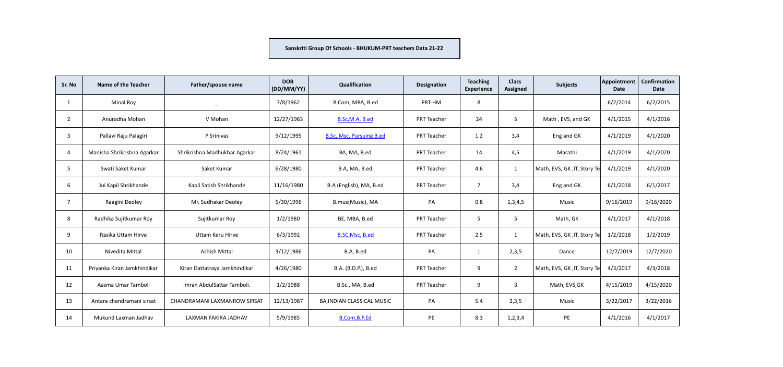## **Sanskriti Group Of Schools - BHUKUM-PRT teachers Data 21-22**

| Sr. No         | Name of the Teacher         | Father/spouse name            | <b>DOB</b><br>(DD/MM/YY) | Qualification                   | <b>Designation</b> | <b>Teaching</b><br><b>Experience</b> | <b>Class</b><br><b>Assigned</b> | <b>Subjects</b>              | Appointment<br>Date | Confirmation<br>Date |
|----------------|-----------------------------|-------------------------------|--------------------------|---------------------------------|--------------------|--------------------------------------|---------------------------------|------------------------------|---------------------|----------------------|
| 1              | Minal Roy                   |                               | 7/8/1962                 | B.Com, MBA, B.ed                | PRT-HM             | 8                                    |                                 |                              | 6/2/2014            | 6/2/2015             |
| -2             | Anuradha Mohan              | V Mohan                       | 12/27/1963               | B.Sc, M.A, B.ed                 | PRT Teacher        | 24                                   | 5                               | Math, EVS, and GK            | 4/1/2015            | 4/1/2016             |
| 3              | Pallavi Raju Palagiri       | P Srinivas                    | 9/12/1995                | <b>B.Sc, Msc, Pursuing B.ed</b> | PRT Teacher        | 1.2                                  | 3,4                             | Eng and GK                   | 4/1/2019            | 4/1/2020             |
| 4              | Manisha Shrikrishna Agarkar | Shrikrishna Madhukhar Agarkar | 8/24/1961                | BA, MA, B.ed                    | PRT Teacher        | 14                                   | 4,5                             | Marathi                      | 4/1/2019            | 4/1/2020             |
| -5             | Swati Saket Kumar           | Saket Kumar                   | 6/28/1980                | B.A, MA, B.ed                   | <b>PRT Teacher</b> | 4.6                                  | 1                               | Math, EVS, GK, JT, Story Tel | 4/1/2019            | 4/1/2020             |
| 6              | Jui Kapil Shrikhande        | Kapil Satish Shrikhande       | 11/16/1980               | B.A (English), MA, B.ed         | PRT Teacher        | $\overline{7}$                       | 3,4                             | Eng and GK                   | 6/1/2018            | 6/1/2017             |
| $\overline{7}$ | Raagini Deoley              | Mr. Sudhakar Deoley           | 5/30/1996                | B.mus(Music), MA                | PA                 | 0.8                                  | 1,3,4,5                         | Music                        | 9/16/2019           | 9/16/2020            |
| 8              | Radhika Sujitkumar Roy      | Sujitkumar Roy                | 1/2/1980                 | BE, MBA, B.ed                   | PRT Teacher        | 5                                    | 5                               | Math, GK                     | 4/1/2017            | 4/1/2018             |
| 9              | Rasika Uttam Hirve          | Uttam Keru Hirve              | 6/3/1992                 | B.SC, Msc, B.ed                 | PRT Teacher        | 2.5                                  | $\mathbf{1}$                    | Math, EVS, GK, JT, Story Tel | 1/2/2018            | 1/2/2019             |
| 10             | Nivedita Mittal             | <b>Ashish Mittal</b>          | 3/12/1986                | B.A, B.ed                       | PA                 | $\mathbf{1}$                         | 2,3,5                           | Dance                        | 12/7/2019           | 12/7/2020            |
| 11             | Priyanka Kiran Jamkhindikar | Kiran Dattatraya Jamkhindikar | 4/26/1980                | B.A. (B.D.P.), B.ed             | PRT Teacher        | 9                                    | $\overline{2}$                  | Math, EVS, GK, JT, Story Tel | 4/3/2017            | 4/3/2018             |
| 12             | Aasma Umar Tamboli          | Imran AbdulSattar Tamboli.    | 1/2/1988                 | B.Sc., MA, B.ed                 | PRT Teacher        | 9                                    | 3                               | Math, EVS, GK                | 4/15/2019           | 4/15/2020            |
| 13             | Antara chandramani sirsat   | CHANDRAMANI LAXMANROW SIRSAT  | 12/13/1987               | BA, INDIAN CLASSICAL MUSIC      | PA                 | 5.4                                  | 2,3,5                           | Music                        | 3/22/2017           | 3/22/2016            |
| 14             | Mukund Laxman Jadhav        | LAXMAN FAKIRA JADHAV          | 5/9/1985                 | B.Com, B.P.Ed                   | PE                 | 8.3                                  | 1, 2, 3, 4                      | PE                           | 4/1/2016            | 4/1/2017             |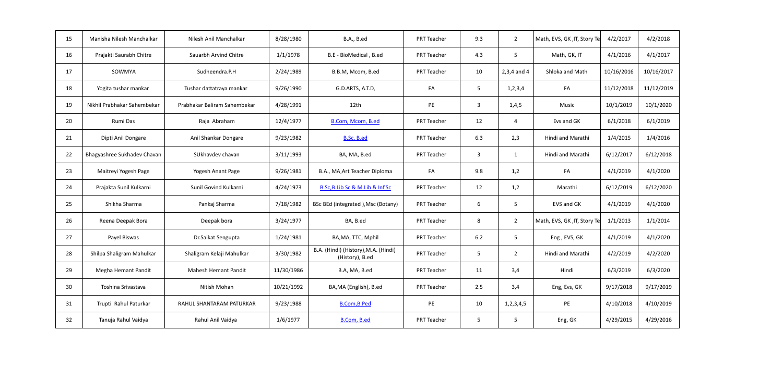| 15 | Manisha Nilesh Manchalkar   | Nilesh Anil Manchalkar       | 8/28/1980  | <b>B.A., B.ed</b>                                       | PRT Teacher | 9.3             | $\overline{2}$ | Math, EVS, GK, JT, Story Te  | 4/2/2017   | 4/2/2018   |
|----|-----------------------------|------------------------------|------------|---------------------------------------------------------|-------------|-----------------|----------------|------------------------------|------------|------------|
| 16 | Prajakti Saurabh Chitre     | Sauarbh Arvind Chitre        | 1/1/1978   | B.E - BioMedical, B.ed                                  | PRT Teacher | 4.3             | 5              | Math, GK, IT                 | 4/1/2016   | 4/1/2017   |
| 17 | SOWMYA                      | Sudheendra.P.H               | 2/24/1989  | B.B.M, Mcom, B.ed                                       | PRT Teacher | 10              | $2,3,4$ and 4  | Shloka and Math              | 10/16/2016 | 10/16/2017 |
| 18 | Yogita tushar mankar        | Tushar dattatraya mankar     | 9/26/1990  | G.D.ARTS, A.T.D,                                        | FA          | 5               | 1, 2, 3, 4     | FA                           | 11/12/2018 | 11/12/2019 |
| 19 | Nikhil Prabhakar Sahembekar | Prabhakar Baliram Sahembekar | 4/28/1991  | 12th                                                    | PE          | $\overline{3}$  | 1,4,5          | Music                        | 10/1/2019  | 10/1/2020  |
| 20 | Rumi Das                    | Raja Abraham                 | 12/4/1977  | <b>B.Com, Mcom, B.ed</b>                                | PRT Teacher | 12              | 4              | Evs and GK                   | 6/1/2018   | 6/1/2019   |
| 21 | Dipti Anil Dongare          | Anil Shankar Dongare         | 9/23/1982  | B.Sc, B.ed                                              | PRT Teacher | 6.3             | 2,3            | Hindi and Marathi            | 1/4/2015   | 1/4/2016   |
| 22 | Bhagyashree Sukhadev Chavan | SUkhavdev chavan             | 3/11/1993  | BA, MA, B.ed                                            | PRT Teacher | $\overline{3}$  | 1              | Hindi and Marathi            | 6/12/2017  | 6/12/2018  |
| 23 | Maitreyi Yogesh Page        | Yogesh Anant Page            | 9/26/1981  | B.A., MA, Art Teacher Diploma                           | FA          | 9.8             | 1,2            | FA                           | 4/1/2019   | 4/1/2020   |
| 24 | Prajakta Sunil Kulkarni     | Sunil Govind Kulkarni        | 4/24/1973  | B.Sc, B.Lib Sc & M.Lib & Inf.Sc                         | PRT Teacher | 12              | 1,2            | Marathi                      | 6/12/2019  | 6/12/2020  |
| 25 | Shikha Sharma               | Pankaj Sharma                | 7/18/1982  | BSc BEd (integrated ), Msc (Botany)                     | PRT Teacher | 6               | 5              | EVS and GK                   | 4/1/2019   | 4/1/2020   |
| 26 | Reena Deepak Bora           | Deepak bora                  | 3/24/1977  | BA, B.ed                                                | PRT Teacher | 8               | $\overline{2}$ | Math, EVS, GK, JT, Story Tel | 1/1/2013   | 1/1/2014   |
| 27 | Payel Biswas                | Dr. Saikat Sengupta          | 1/24/1981  | BA, MA, TTC, Mphil                                      | PRT Teacher | 6.2             | 5              | Eng, EVS, GK                 | 4/1/2019   | 4/1/2020   |
| 28 | Shilpa Shaligram Mahulkar   | Shaligram Kelaji Mahulkar    | 3/30/1982  | B.A. (Hindi) (History), M.A. (Hindi)<br>(History), B.ed | PRT Teacher | 5               | $\overline{2}$ | Hindi and Marathi            | 4/2/2019   | 4/2/2020   |
| 29 | Megha Hemant Pandit         | <b>Mahesh Hemant Pandit</b>  | 11/30/1986 | B.A, MA, B.ed                                           | PRT Teacher | 11              | 3,4            | Hindi                        | 6/3/2019   | 6/3/2020   |
| 30 | Toshina Srivastava          | Nitish Mohan                 | 10/21/1992 | BA, MA (English), B.ed                                  | PRT Teacher | 2.5             | 3,4            | Eng, Evs, GK                 | 9/17/2018  | 9/17/2019  |
| 31 | Trupti Rahul Paturkar       | RAHUL SHANTARAM PATURKAR     | 9/23/1988  | <b>B.Com, B.Ped</b>                                     | PE          | 10              | 1,2,3,4,5      | PE                           | 4/10/2018  | 4/10/2019  |
| 32 | Tanuja Rahul Vaidya         | Rahul Anil Vaidya            | 1/6/1977   | B.Com, B.ed                                             | PRT Teacher | $5\phantom{.0}$ | 5              | Eng, GK                      | 4/29/2015  | 4/29/2016  |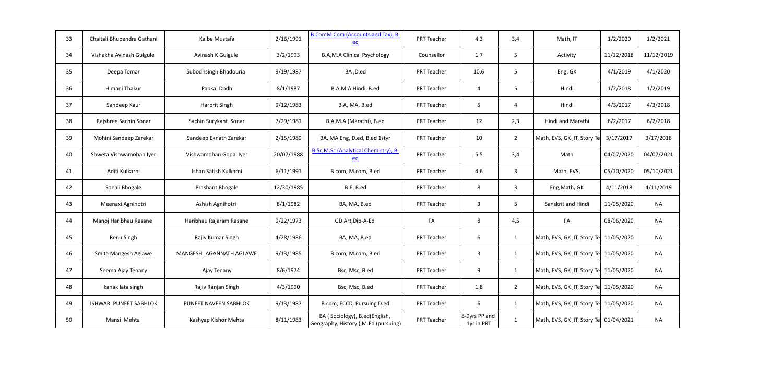| 33 | Chaitali Bhupendra Gathani    | Kalbe Mustafa            | 2/16/1991  | B.ComM.Com (Accounts and Tax), B.<br><u>ed</u>                         | PRT Teacher        | 4.3                         | 3,4            | Math, IT                                | 1/2/2020   | 1/2/2021   |
|----|-------------------------------|--------------------------|------------|------------------------------------------------------------------------|--------------------|-----------------------------|----------------|-----------------------------------------|------------|------------|
| 34 | Vishakha Avinash Gulgule      | Avinash K Gulgule        | 3/2/1993   | B.A,M.A Clinical Psychology                                            | Counsellor         | 1.7                         | 5              | Activity                                | 11/12/2018 | 11/12/2019 |
| 35 | Deepa Tomar                   | Subodhsingh Bhadouria    | 9/19/1987  | BA, D.ed                                                               | PRT Teacher        | 10.6                        | 5              | Eng, GK                                 | 4/1/2019   | 4/1/2020   |
| 36 | Himani Thakur                 | Pankaj Dodh              | 8/1/1987   | B.A,M.A Hindi, B.ed                                                    | PRT Teacher        | $\overline{a}$              | 5              | Hindi                                   | 1/2/2018   | 1/2/2019   |
| 37 | Sandeep Kaur                  | <b>Harprit Singh</b>     | 9/12/1983  | B.A, MA, B.ed                                                          | PRT Teacher        | 5                           | 4              | Hindi                                   | 4/3/2017   | 4/3/2018   |
| 38 | Rajshree Sachin Sonar         | Sachin Surykant Sonar    | 7/29/1981  | B.A,M.A (Marathi), B.ed                                                | PRT Teacher        | 12                          | 2,3            | <b>Hindi and Marathi</b>                | 6/2/2017   | 6/2/2018   |
| 39 | Mohini Sandeep Zarekar        | Sandeep Eknath Zarekar   | 2/15/1989  | BA, MA Eng, D.ed, B,ed 1styr                                           | PRT Teacher        | 10                          | $\overline{2}$ | Math, EVS, GK, JT, Story Tel            | 3/17/2017  | 3/17/2018  |
| 40 | Shweta Vishwamohan Iyer       | Vishwamohan Gopal Iyer   | 20/07/1988 | <b>B.Sc, M.Sc (Analytical Chemistry), B.</b><br>$ed$                   | PRT Teacher        | 5.5                         | 3,4            | Math                                    | 04/07/2020 | 04/07/2021 |
| 41 | Aditi Kulkarni                | Ishan Satish Kulkarni    | 6/11/1991  | B.com, M.com, B.ed                                                     | PRT Teacher        | 4.6                         | $\overline{3}$ | Math, EVS,                              | 05/10/2020 | 05/10/2021 |
| 42 | Sonali Bhogale                | Prashant Bhogale         | 12/30/1985 | B.E, B.ed                                                              | <b>PRT Teacher</b> | 8                           | 3              | Eng, Math, GK                           | 4/11/2018  | 4/11/2019  |
| 43 | Meenaxi Agnihotri             | Ashish Agnihotri         | 8/1/1982   | BA, MA, B.ed                                                           | PRT Teacher        | $\overline{3}$              | 5              | Sanskrit and Hindi                      | 11/05/2020 | <b>NA</b>  |
| 44 | Manoj Haribhau Rasane         | Haribhau Rajaram Rasane  | 9/22/1973  | GD Art, Dip-A-Ed                                                       | FA                 | 8                           | 4,5            | FA                                      | 08/06/2020 | <b>NA</b>  |
| 45 | Renu Singh                    | Rajiv Kumar Singh        | 4/28/1986  | BA, MA, B.ed                                                           | PRT Teacher        | 6                           | $\mathbf{1}$   | Math, EVS, GK, IT, Story Te 11/05/2020  |            | <b>NA</b>  |
| 46 | Smita Mangesh Aglawe          | MANGESH JAGANNATH AGLAWE | 9/13/1985  | B.com, M.com, B.ed                                                     | PRT Teacher        | $\overline{3}$              | $\mathbf{1}$   | Math, EVS, GK, IT, Story Te 11/05/2020  |            | <b>NA</b>  |
| 47 | Seema Ajay Tenany             | Ajay Tenany              | 8/6/1974   | Bsc, Msc, B.ed                                                         | PRT Teacher        | 9                           | 1              | Math, EVS, GK, IT, Story Te 11/05/2020  |            | <b>NA</b>  |
| 48 | kanak lata singh              | Rajiv Ranjan Singh       | 4/3/1990   | Bsc, Msc, B.ed                                                         | PRT Teacher        | 1.8                         | $\overline{2}$ | 11/05/2020 Math, EVS, GK , IT, Story Te |            | <b>NA</b>  |
| 49 | <b>ISHWARI PUNEET SABHLOK</b> | PUNEET NAVEEN SABHLOK    | 9/13/1987  | B.com, ECCD, Pursuing D.ed                                             | PRT Teacher        | $6\overline{6}$             | $\mathbf{1}$   | Math, EVS, GK, IT, Story Te 11/05/2020  |            | <b>NA</b>  |
| 50 | Mansi Mehta                   | Kashyap Kishor Mehta     | 8/11/1983  | BA (Sociology), B.ed(English,<br>Geography, History ), M.Ed (pursuing) | PRT Teacher        | 8-9yrs PP and<br>1yr in PRT | $\mathbf{1}$   | Math, EVS, GK , IT, Story Te 01/04/2021 |            | <b>NA</b>  |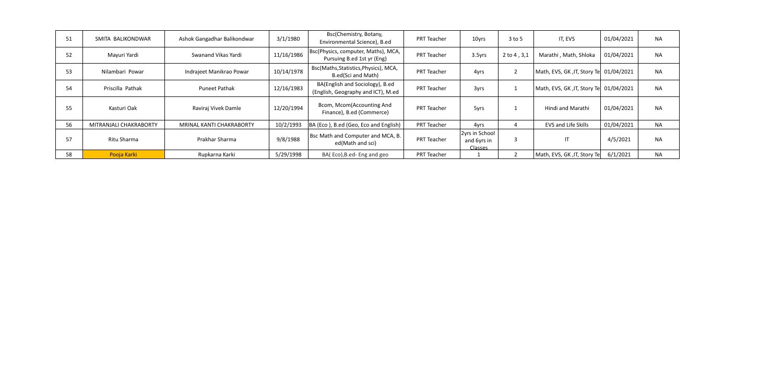| 51 | SMITA BALIKONDWAR      | Ashok Gangadhar Balikondwar | 3/1/1980   | Bsc(Chemistry, Botany,<br>Environmental Science), B.ed                | PRT Teacher        | 10yrs                                    | $3$ to 5           | IT, EVS                                | 01/04/2021 | <b>NA</b> |
|----|------------------------|-----------------------------|------------|-----------------------------------------------------------------------|--------------------|------------------------------------------|--------------------|----------------------------------------|------------|-----------|
| 52 | Mayuri Yardi           | Swanand Vikas Yardi         | 11/16/1986 | Bsc(Physics, computer, Maths), MCA,<br>Pursuing B.ed 1st yr (Eng)     | PRT Teacher        | 3.5yrs                                   | $2$ to $4$ , $3,1$ | Marathi, Math, Shloka                  | 01/04/2021 | <b>NA</b> |
| 53 | Nilambari Powar        | Indrajeet Manikrao Powar    | 10/14/1978 | Bsc(Maths, Statistics, Physics), MCA,<br>B.ed(Sci and Math)           | PRT Teacher        | 4yrs                                     |                    | Math, EVS, GK, IT, Story Te 01/04/2021 |            | <b>NA</b> |
| 54 | Priscilla Pathak       | Puneet Pathak               | 12/16/1983 | BA(English and Sociology), B.ed<br>(English, Geography and ICT), M.ed | PRT Teacher        | 3yrs                                     |                    | Math, EVS, GK, IT, Story Te 01/04/2021 |            | <b>NA</b> |
| 55 | Kasturi Oak            | Raviraj Vivek Damle         | 12/20/1994 | Bcom, Mcom(Accounting And<br>Finance), B.ed (Commerce)                | <b>PRT Teacher</b> | 5yrs                                     |                    | Hindi and Marathi                      | 01/04/2021 | <b>NA</b> |
| 56 | MITRANJALI CHAKRABORTY | MRINAL KANTI CHAKRABORTY    | 10/2/1993  | BA (Eco), B.ed (Geo, Eco and English)                                 | PRT Teacher        | 4yrs                                     |                    | EVS and Life Skills                    | 01/04/2021 | <b>NA</b> |
| 57 | Ritu Sharma            | Prakhar Sharma              | 9/8/1988   | Bsc Math and Computer and MCA, B.<br>ed(Math and sci)                 | PRT Teacher        | 2yrs in School<br>and 6yrs in<br>Classes |                    | IT                                     | 4/5/2021   | <b>NA</b> |
| 58 | Pooja Karki            | Rupkarna Karki              | 5/29/1998  | BA(Eco), B.ed-Eng and geo                                             | PRT Teacher        |                                          |                    | Math, EVS, GK, JT, Story Tel           | 6/1/2021   | <b>NA</b> |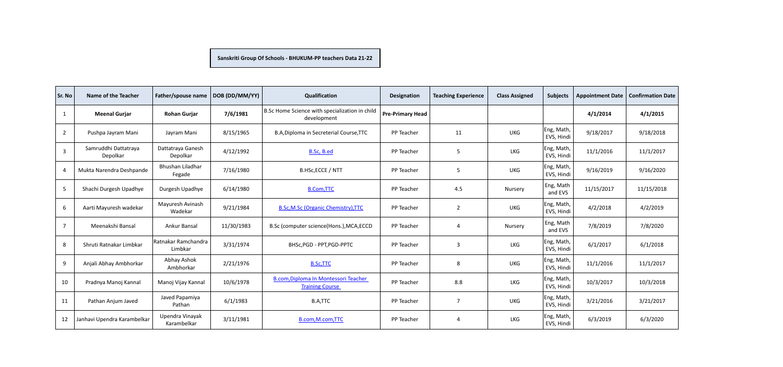## **Sanskriti Group Of Schools - BHUKUM-PP teachers Data 21-22**

| Sr. No          | Name of the Teacher              | Father/spouse name             | DOB (DD/MM/YY) | Qualification                                                  | <b>Designation</b>      | <b>Teaching Experience</b> | <b>Class Assigned</b> | <b>Subjects</b>          | <b>Appointment Date</b> | <b>Confirmation Date</b> |
|-----------------|----------------------------------|--------------------------------|----------------|----------------------------------------------------------------|-------------------------|----------------------------|-----------------------|--------------------------|-------------------------|--------------------------|
| 1               | <b>Meenal Gurjar</b>             | <b>Rohan Gurjar</b>            | 7/6/1981       | B.Sc Home Science with specialization in child<br>development  | <b>Pre-Primary Head</b> |                            |                       |                          | 4/1/2014                | 4/1/2015                 |
| $\overline{2}$  | Pushpa Jayram Mani               | Jayram Mani                    | 8/15/1965      | B.A, Diploma in Secreterial Course, TTC                        | PP Teacher              | 11                         | <b>UKG</b>            | Eng, Math,<br>EVS, Hindi | 9/18/2017               | 9/18/2018                |
| $\overline{3}$  | Samruddhi Dattatraya<br>Depolkar | Dattatraya Ganesh<br>Depolkar  | 4/12/1992      | B.Sc, B.ed                                                     | PP Teacher              | 5                          | <b>LKG</b>            | Eng, Math,<br>EVS, Hindi | 11/1/2016               | 11/1/2017                |
| $\overline{4}$  | Mukta Narendra Deshpande         | Bhushan Liladhar<br>Fegade     | 7/16/1980      | B.HSc, ECCE / NTT                                              | PP Teacher              | 5                          | <b>UKG</b>            | Eng, Math,<br>EVS, Hindi | 9/16/2019               | 9/16/2020                |
| $5\phantom{.0}$ | Shachi Durgesh Upadhye           | Durgesh Upadhye                | 6/14/1980      | <b>B.Com,TTC</b>                                               | PP Teacher              | 4.5                        | Nursery               | Eng, Math<br>and EVS     | 11/15/2017              | 11/15/2018               |
| 6               | Aarti Mayuresh wadekar           | Mayuresh Avinash<br>Wadekar    | 9/21/1984      | <b>B.Sc, M.Sc (Organic Chemistry), TTC</b>                     | PP Teacher              | $\overline{2}$             | <b>UKG</b>            | Eng, Math,<br>EVS, Hindi | 4/2/2018                | 4/2/2019                 |
| 7               | Meenakshi Bansal                 | Ankur Bansal                   | 11/30/1983     | B.Sc (computer science(Hons.), MCA, ECCD                       | PP Teacher              | 4                          | Nursery               | Eng, Math<br>and EVS     | 7/8/2019                | 7/8/2020                 |
| 8               | Shruti Ratnakar Limbkar          | Ratnakar Ramchandra<br>Limbkar | 3/31/1974      | BHSc, PGD - PPT, PGD-PPTC                                      | PP Teacher              | 3                          | <b>LKG</b>            | Eng, Math,<br>EVS, Hindi | 6/1/2017                | 6/1/2018                 |
| 9               | Anjali Abhay Ambhorkar           | Abhay Ashok<br>Ambhorkar       | 2/21/1976      | <b>B.Sc,TTC</b>                                                | PP Teacher              | 8                          | <b>UKG</b>            | Eng, Math,<br>EVS, Hindi | 11/1/2016               | 11/1/2017                |
| 10              | Pradnya Manoj Kannal             | Manoj Vijay Kannal             | 10/6/1978      | B.com, Diploma In Montessori Teacher<br><b>Training Course</b> | PP Teacher              | 8.8                        | LKG                   | Eng, Math,<br>EVS, Hindi | 10/3/2017               | 10/3/2018                |
| 11              | Pathan Anjum Javed               | Javed Papamiya<br>Pathan       | 6/1/1983       | <b>B.A,TTC</b>                                                 | PP Teacher              | 7                          | <b>UKG</b>            | Eng, Math,<br>EVS, Hindi | 3/21/2016               | 3/21/2017                |
| 12              | Janhavi Upendra Karambelkar      | Upendra Vinayak<br>Karambelkar | 3/11/1981      | B.com, M.com, TTC                                              | PP Teacher              | 4                          | <b>LKG</b>            | Eng, Math,<br>EVS, Hindi | 6/3/2019                | 6/3/2020                 |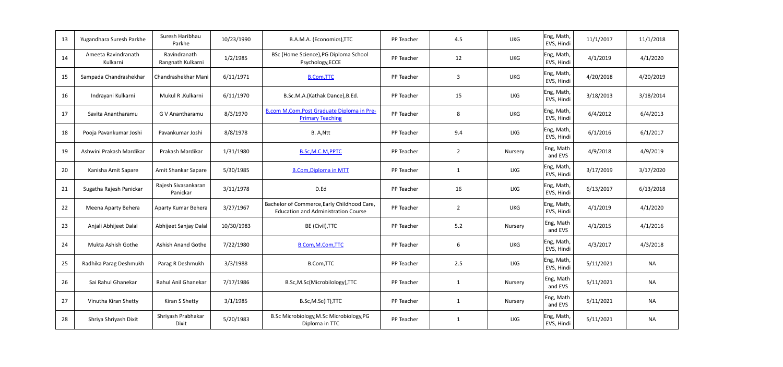| 13 | Yugandhara Suresh Parkhe        | Suresh Haribhau<br>Parkhe         | 10/23/1990 | B.A.M.A. (Economics), TTC                                                                 | PP Teacher | 4.5            | <b>UKG</b> | Eng, Math,<br>EVS, Hindi | 11/1/2017 | 11/1/2018 |
|----|---------------------------------|-----------------------------------|------------|-------------------------------------------------------------------------------------------|------------|----------------|------------|--------------------------|-----------|-----------|
| 14 | Ameeta Ravindranath<br>Kulkarni | Ravindranath<br>Rangnath Kulkarni | 1/2/1985   | BSc (Home Science), PG Diploma School<br>Psychology, ECCE                                 | PP Teacher | 12             | <b>UKG</b> | Eng, Math,<br>EVS, Hindi | 4/1/2019  | 4/1/2020  |
| 15 | Sampada Chandrashekhar          | Chandrashekhar Mani               | 6/11/1971  | <b>B.Com,TTC</b>                                                                          | PP Teacher | 3              | <b>UKG</b> | Eng, Math,<br>EVS, Hindi | 4/20/2018 | 4/20/2019 |
| 16 | Indrayani Kulkarni              | Mukul R .Kulkarni                 | 6/11/1970  | B.Sc.M.A.(Kathak Dance), B.Ed.                                                            | PP Teacher | 15             | LKG        | Eng, Math,<br>EVS, Hindi | 3/18/2013 | 3/18/2014 |
| 17 | Savita Anantharamu              | G V Anantharamu                   | 8/3/1970   | <b>B.com M.Com, Post Graduate Diploma in Pre-</b><br><b>Primary Teaching</b>              | PP Teacher | 8              | <b>UKG</b> | Eng, Math,<br>EVS, Hindi | 6/4/2012  | 6/4/2013  |
| 18 | Pooja Pavankumar Joshi          | Pavankumar Joshi                  | 8/8/1978   | B. A, Ntt                                                                                 | PP Teacher | 9.4            | <b>LKG</b> | Eng, Math,<br>EVS, Hindi | 6/1/2016  | 6/1/2017  |
| 19 | Ashwini Prakash Mardikar        | Prakash Mardikar                  | 1/31/1980  | B.Sc,M.C.M,PPTC                                                                           | PP Teacher | $\overline{2}$ | Nursery    | Eng, Math<br>and EVS     | 4/9/2018  | 4/9/2019  |
| 20 | Kanisha Amit Sapare             | Amit Shankar Sapare               | 5/30/1985  | <b>B.Com, Diploma in MTT</b>                                                              | PP Teacher | $\mathbf{1}$   | LKG        | Eng, Math,<br>EVS, Hindi | 3/17/2019 | 3/17/2020 |
| 21 | Sugatha Rajesh Panickar         | Rajesh Sivasankaran<br>Panickar   | 3/11/1978  | D.Ed                                                                                      | PP Teacher | 16             | LKG        | Eng, Math,<br>EVS, Hindi | 6/13/2017 | 6/13/2018 |
| 22 | Meena Aparty Behera             | Aparty Kumar Behera               | 3/27/1967  | Bachelor of Commerce, Early Childhood Care,<br><b>Education and Administration Course</b> | PP Teacher | $\overline{2}$ | <b>UKG</b> | Eng, Math,<br>EVS, Hindi | 4/1/2019  | 4/1/2020  |
| 23 | Anjali Abhijeet Dalal           | Abhijeet Sanjay Dalal             | 10/30/1983 | BE (Civil), TTC                                                                           | PP Teacher | 5.2            | Nursery    | Eng, Math<br>and EVS     | 4/1/2015  | 4/1/2016  |
| 24 | Mukta Ashish Gothe              | <b>Ashish Anand Gothe</b>         | 7/22/1980  | B.Com, M.Com, TTC                                                                         | PP Teacher | 6              | <b>UKG</b> | Eng, Math,<br>EVS, Hindi | 4/3/2017  | 4/3/2018  |
| 25 | Radhika Parag Deshmukh          | Parag R Deshmukh                  | 3/3/1988   | B.Com, TTC                                                                                | PP Teacher | 2.5            | LKG        | Eng, Math,<br>EVS, Hindi | 5/11/2021 | NA        |
| 26 | Sai Rahul Ghanekar              | Rahul Anil Ghanekar               | 7/17/1986  | B.Sc,M.Sc(Microbilology),TTC                                                              | PP Teacher |                | Nursery    | Eng, Math<br>and EVS     | 5/11/2021 | NA        |
| 27 | Vinutha Kiran Shetty            | Kiran S Shetty                    | 3/1/1985   | B.Sc, M.Sc(IT), TTC                                                                       | PP Teacher | $\mathbf{1}$   | Nursery    | Eng, Math<br>and EVS     | 5/11/2021 | <b>NA</b> |
| 28 | Shriya Shriyash Dixit           | Shriyash Prabhakar<br>Dixit       | 5/20/1983  | B.Sc Microbiology, M.Sc Microbiology, PG<br>Diploma in TTC                                | PP Teacher | $\mathbf{1}$   | LKG        | Eng, Math,<br>EVS, Hindi | 5/11/2021 | <b>NA</b> |